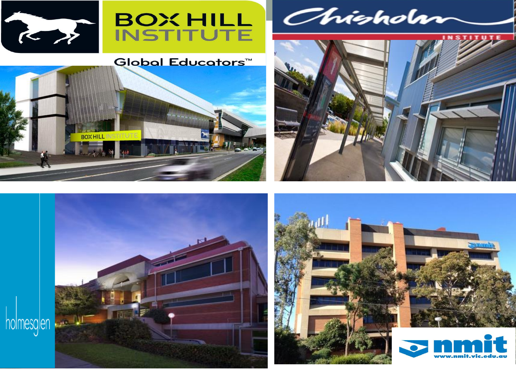



#### Global Educators™



Chishdar





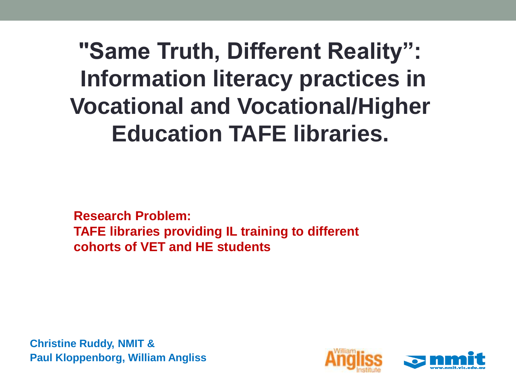**"Same Truth, Different Reality": Information literacy practices in Vocational and Vocational/Higher Education TAFE libraries.**

**Research Problem: TAFE libraries providing IL training to different cohorts of VET and HE students**

**Christine Ruddy, NMIT & Paul Kloppenborg, William Angliss**

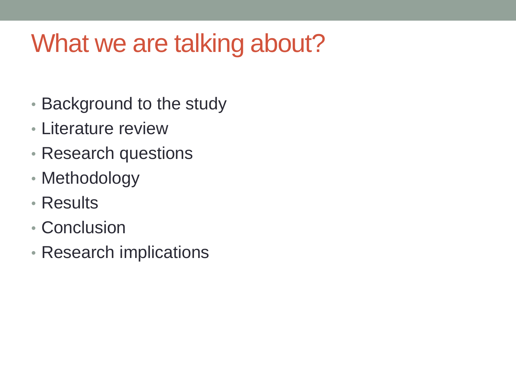### What we are talking about?

- Background to the study
- Literature review
- Research questions
- Methodology
- Results
- Conclusion
- Research implications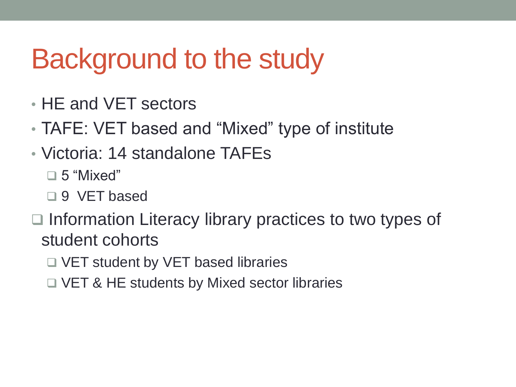## Background to the study

- HE and VET sectors
- TAFE: VET based and "Mixed" type of institute
- Victoria: 14 standalone TAFEs
	- ❑ 5 "Mixed"
	- ❑ 9 VET based
- ❑ Information Literacy library practices to two types of student cohorts
	- ❑ VET student by VET based libraries
	- ❑ VET & HE students by Mixed sector libraries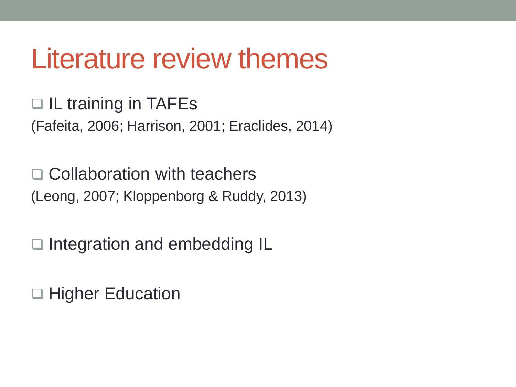### Literature review themes

❑ IL training in TAFEs (Fafeita, 2006; Harrison, 2001; Eraclides, 2014)

❑ Collaboration with teachers (Leong, 2007; Kloppenborg & Ruddy, 2013)

❑ Integration and embedding IL

❑ Higher Education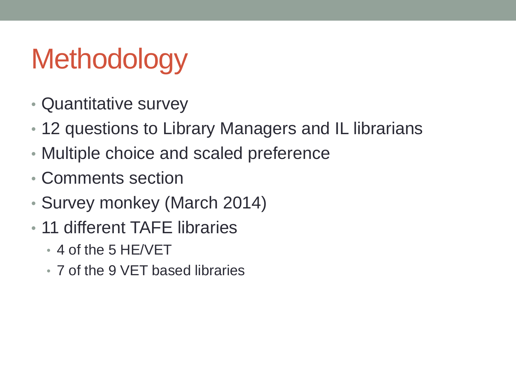# **Methodology**

- Quantitative survey
- 12 questions to Library Managers and IL librarians
- Multiple choice and scaled preference
- Comments section
- Survey monkey (March 2014)
- 11 different TAFE libraries
	- 4 of the 5 HE/VET
	- 7 of the 9 VET based libraries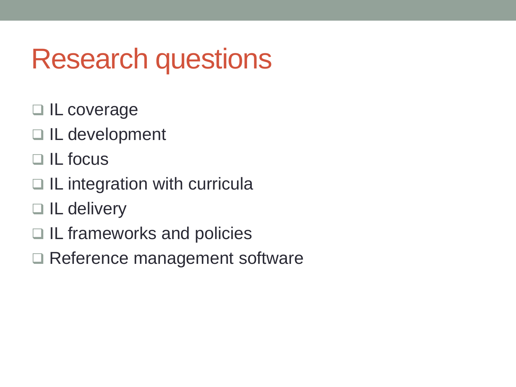## Research questions

- ❑ IL coverage
- ❑ IL development
- ❑ IL focus
- □ IL integration with curricula
- ❑ IL delivery
- ❑ IL frameworks and policies
- □ Reference management software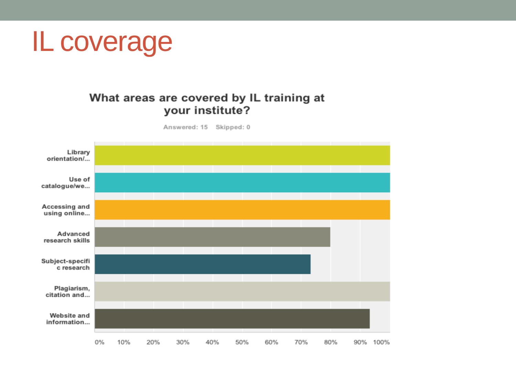### **IL coverage**

#### What areas are covered by IL training at your institute?

Answered: 15 Skipped: 0

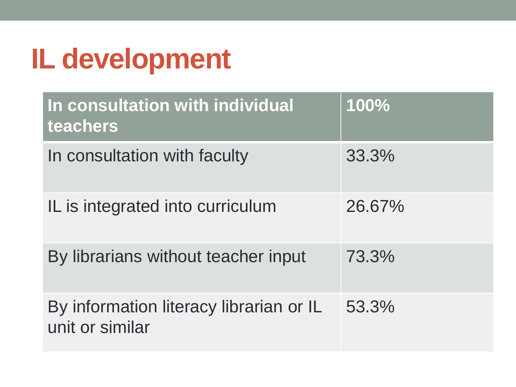## **IL development**

| In consultation with individual<br>teachers                | 100%   |
|------------------------------------------------------------|--------|
| In consultation with faculty                               | 33.3%  |
| IL is integrated into curriculum                           | 26.67% |
| By librarians without teacher input                        | 73.3%  |
| By information literacy librarian or IL<br>unit or similar | 53.3%  |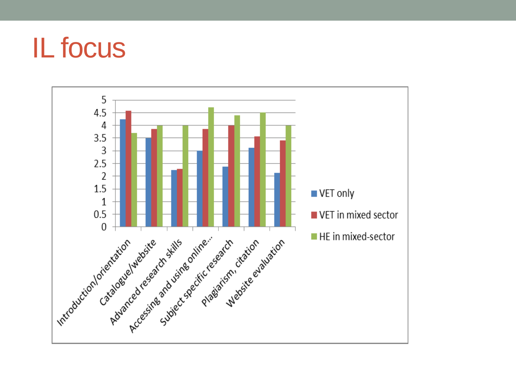## **IL focus**

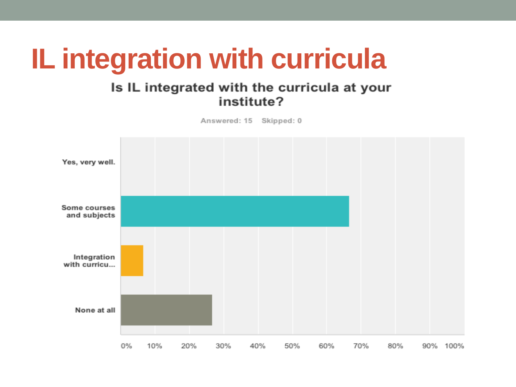## **IL integration with curricula**

#### Is IL integrated with the curricula at your institute?

Answered: 15 Skipped: 0

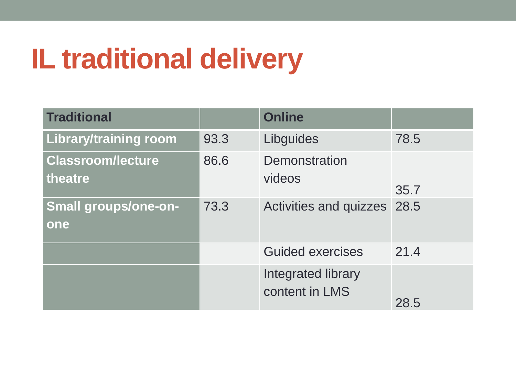# **IL traditional delivery**

| <b>Traditional</b>                  |      | <b>Online</b>                        |      |
|-------------------------------------|------|--------------------------------------|------|
| <b>Library/training room</b>        | 93.3 | Libguides                            | 78.5 |
| <b>Classroom/lecture</b><br>theatre | 86.6 | Demonstration<br>videos              | 35.7 |
| <b>Small groups/one-on-</b><br>one  | 73.3 | <b>Activities and quizzes</b>        | 28.5 |
|                                     |      | <b>Guided exercises</b>              | 21.4 |
|                                     |      | Integrated library<br>content in LMS | 28.5 |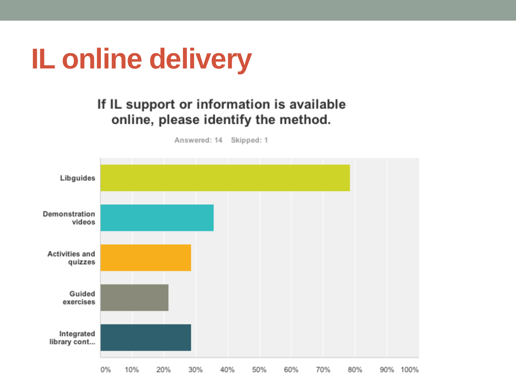

#### If IL support or information is available online, please identify the method.

Answered: 14 Skipped: 1

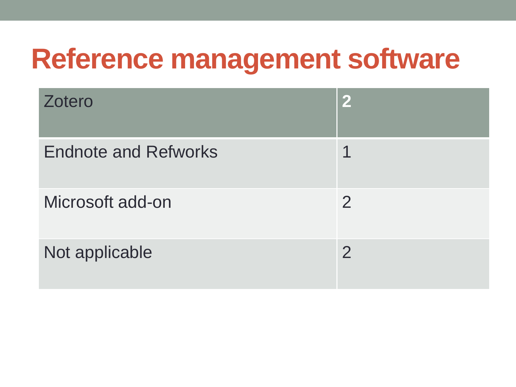## **Reference management software**

| Zotero                      | $\mathbf{2}$   |
|-----------------------------|----------------|
| <b>Endnote and Refworks</b> |                |
| Microsoft add-on            | $\overline{2}$ |
| Not applicable              | $\overline{2}$ |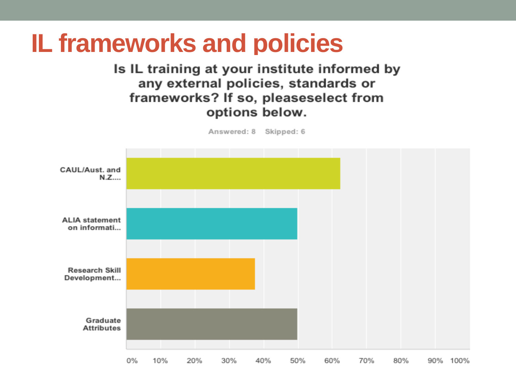#### **IL frameworks and policies**Is IL training at your institute informed by any external policies, standards or frameworks? If so, pleaseselect from options below. Answered: 8 Skipped: 6 CAUL/Aust, and N.Z.... **ALIA statement** on informati... **Research Skill** Development... Graduate **Attributes** 0% 10% 20% 30% 40% 50% 60% 70% 80% 90% 100%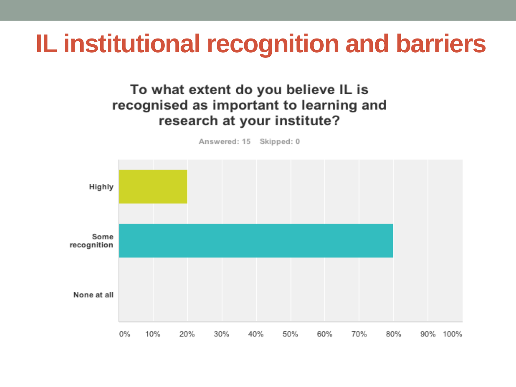### **IL institutional recognition and barriers**

#### To what extent do you believe IL is recognised as important to learning and research at your institute?

Highly Some recognition None at all

40%

50%

60%

70%

80%

90% 100%

30%

20%

10%

0%

Answered: 15 Skipped: 0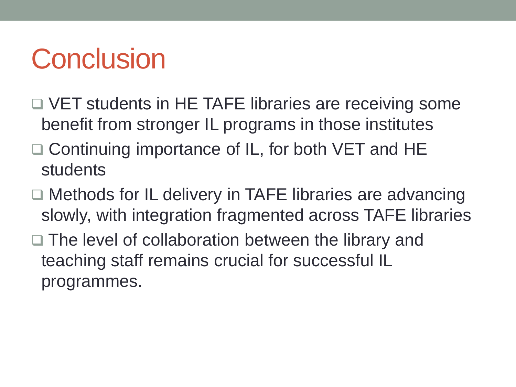## **Conclusion**

- □ VET students in HE TAFE libraries are receiving some benefit from stronger IL programs in those institutes
- ❑ Continuing importance of IL, for both VET and HE students
- □ Methods for IL delivery in TAFE libraries are advancing slowly, with integration fragmented across TAFE libraries
- ❑ The level of collaboration between the library and teaching staff remains crucial for successful IL programmes.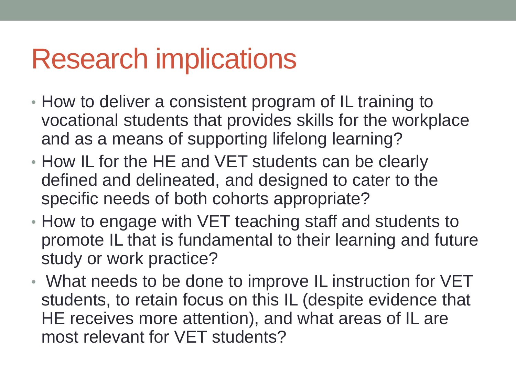## Research implications

- How to deliver a consistent program of IL training to vocational students that provides skills for the workplace and as a means of supporting lifelong learning?
- How IL for the HE and VET students can be clearly defined and delineated, and designed to cater to the specific needs of both cohorts appropriate?
- How to engage with VET teaching staff and students to promote IL that is fundamental to their learning and future study or work practice?
- What needs to be done to improve IL instruction for VET students, to retain focus on this IL (despite evidence that HE receives more attention), and what areas of IL are most relevant for VET students?